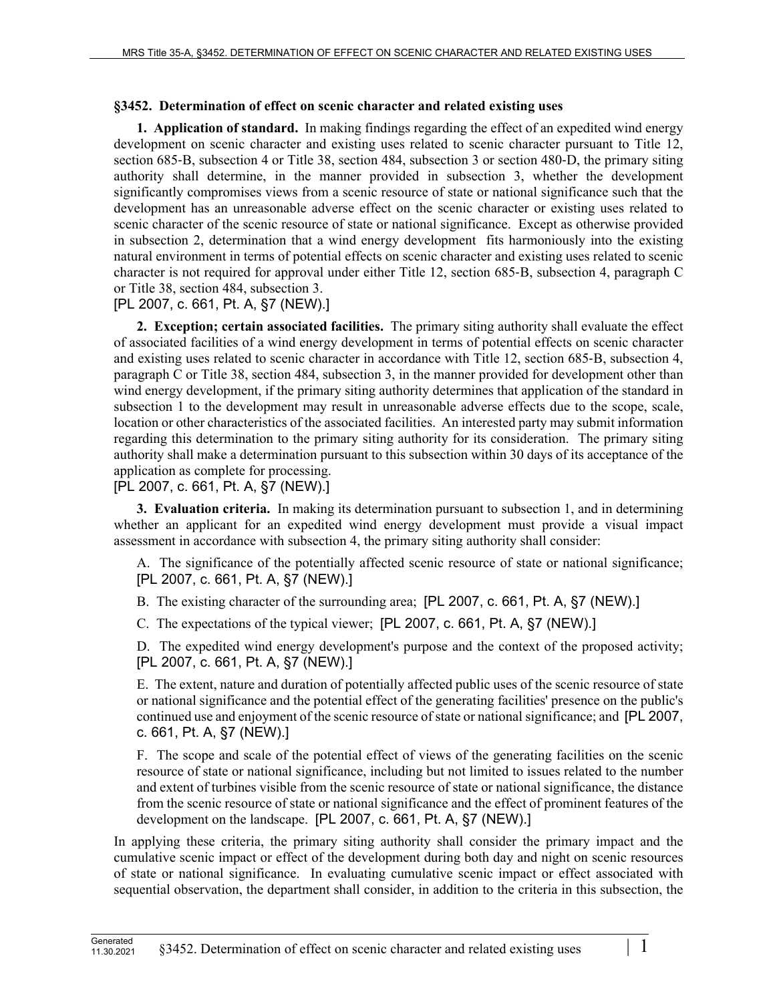## **§3452. Determination of effect on scenic character and related existing uses**

**1. Application of standard.** In making findings regarding the effect of an expedited wind energy development on scenic character and existing uses related to scenic character pursuant to Title 12, section 685–B, subsection 4 or Title 38, section 484, subsection 3 or section 480–D, the primary siting authority shall determine, in the manner provided in subsection 3, whether the development significantly compromises views from a scenic resource of state or national significance such that the development has an unreasonable adverse effect on the scenic character or existing uses related to scenic character of the scenic resource of state or national significance. Except as otherwise provided in subsection 2, determination that a wind energy development fits harmoniously into the existing natural environment in terms of potential effects on scenic character and existing uses related to scenic character is not required for approval under either Title 12, section 685‑B, subsection 4, paragraph C or Title 38, section 484, subsection 3.

[PL 2007, c. 661, Pt. A, §7 (NEW).]

**2. Exception; certain associated facilities.** The primary siting authority shall evaluate the effect of associated facilities of a wind energy development in terms of potential effects on scenic character and existing uses related to scenic character in accordance with Title 12, section 685‑B, subsection 4, paragraph C or Title 38, section 484, subsection 3, in the manner provided for development other than wind energy development, if the primary siting authority determines that application of the standard in subsection 1 to the development may result in unreasonable adverse effects due to the scope, scale, location or other characteristics of the associated facilities. An interested party may submit information regarding this determination to the primary siting authority for its consideration. The primary siting authority shall make a determination pursuant to this subsection within 30 days of its acceptance of the application as complete for processing.

[PL 2007, c. 661, Pt. A, §7 (NEW).]

**3. Evaluation criteria.** In making its determination pursuant to subsection 1, and in determining whether an applicant for an expedited wind energy development must provide a visual impact assessment in accordance with subsection 4, the primary siting authority shall consider:

A. The significance of the potentially affected scenic resource of state or national significance; [PL 2007, c. 661, Pt. A, §7 (NEW).]

B. The existing character of the surrounding area; [PL 2007, c. 661, Pt. A, §7 (NEW).]

C. The expectations of the typical viewer; [PL 2007, c. 661, Pt. A, §7 (NEW).]

D. The expedited wind energy development's purpose and the context of the proposed activity; [PL 2007, c. 661, Pt. A, §7 (NEW).]

E. The extent, nature and duration of potentially affected public uses of the scenic resource of state or national significance and the potential effect of the generating facilities' presence on the public's continued use and enjoyment of the scenic resource of state or national significance; and [PL 2007, c. 661, Pt. A, §7 (NEW).]

F. The scope and scale of the potential effect of views of the generating facilities on the scenic resource of state or national significance, including but not limited to issues related to the number and extent of turbines visible from the scenic resource of state or national significance, the distance from the scenic resource of state or national significance and the effect of prominent features of the development on the landscape. [PL 2007, c. 661, Pt. A, §7 (NEW).]

In applying these criteria, the primary siting authority shall consider the primary impact and the cumulative scenic impact or effect of the development during both day and night on scenic resources of state or national significance. In evaluating cumulative scenic impact or effect associated with sequential observation, the department shall consider, in addition to the criteria in this subsection, the